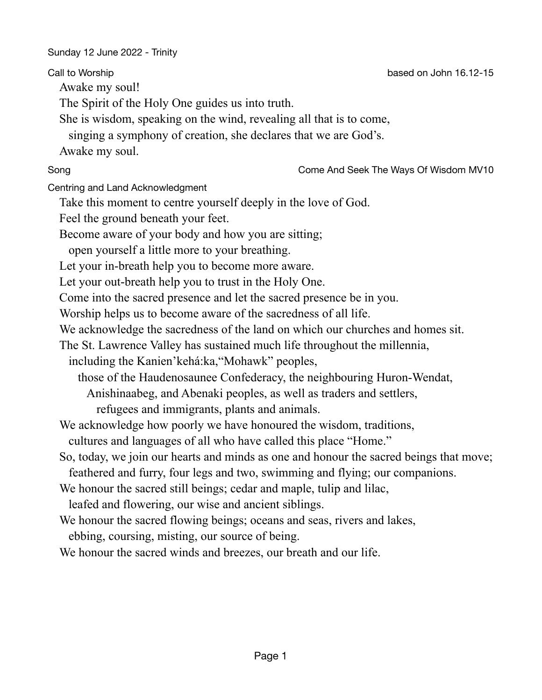Sunday 12 June 2022 - Trinity

| Call to Worship                                                                        | based on John 16.12-15                |
|----------------------------------------------------------------------------------------|---------------------------------------|
| Awake my soul!                                                                         |                                       |
| The Spirit of the Holy One guides us into truth.                                       |                                       |
| She is wisdom, speaking on the wind, revealing all that is to come,                    |                                       |
| singing a symphony of creation, she declares that we are God's.                        |                                       |
| Awake my soul.                                                                         |                                       |
| Song                                                                                   | Come And Seek The Ways Of Wisdom MV10 |
| Centring and Land Acknowledgment                                                       |                                       |
| Take this moment to centre yourself deeply in the love of God.                         |                                       |
| Feel the ground beneath your feet.                                                     |                                       |
| Become aware of your body and how you are sitting;                                     |                                       |
| open yourself a little more to your breathing.                                         |                                       |
| Let your in-breath help you to become more aware.                                      |                                       |
| Let your out-breath help you to trust in the Holy One.                                 |                                       |
| Come into the sacred presence and let the sacred presence be in you.                   |                                       |
| Worship helps us to become aware of the sacredness of all life.                        |                                       |
| We acknowledge the sacredness of the land on which our churches and homes sit.         |                                       |
| The St. Lawrence Valley has sustained much life throughout the millennia,              |                                       |
| including the Kanien' kehá: ka, "Mohawk" peoples,                                      |                                       |
| those of the Haudenosaunee Confederacy, the neighbouring Huron-Wendat,                 |                                       |
| Anishinaabeg, and Abenaki peoples, as well as traders and settlers,                    |                                       |
| refugees and immigrants, plants and animals.                                           |                                       |
| We acknowledge how poorly we have honoured the wisdom, traditions,                     |                                       |
| cultures and languages of all who have called this place "Home."                       |                                       |
| So, today, we join our hearts and minds as one and honour the sacred beings that move; |                                       |
| feathered and furry, four legs and two, swimming and flying; our companions.           |                                       |
| We honour the sacred still beings; cedar and maple, tulip and lilac,                   |                                       |
| leafed and flowering, our wise and ancient siblings.                                   |                                       |
| We honour the sacred flowing beings; oceans and seas, rivers and lakes,                |                                       |
| ebbing, coursing, misting, our source of being.                                        |                                       |
| We honour the sacred winds and breezes, our breath and our life.                       |                                       |
|                                                                                        |                                       |
|                                                                                        |                                       |
|                                                                                        |                                       |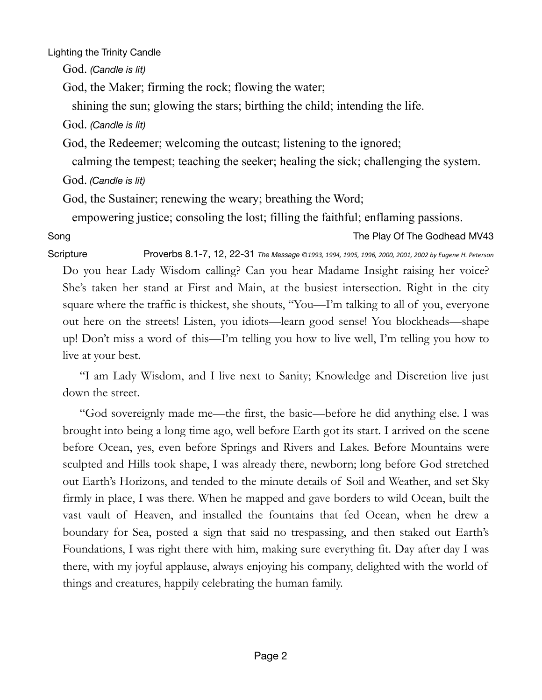Lighting the Trinity Candle

God. *(Candle is lit)* 

God, the Maker; firming the rock; flowing the water;

shining the sun; glowing the stars; birthing the child; intending the life.

God. *(Candle is lit)* 

God, the Redeemer; welcoming the outcast; listening to the ignored;

calming the tempest; teaching the seeker; healing the sick; challenging the system.

God. *(Candle is lit)* 

God, the Sustainer; renewing the weary; breathing the Word;

empowering justice; consoling the lost; filling the faithful; enflaming passions.

Song Song Song The Play Of The Godhead MV43

Scripture **Proverbs 8.1-7, 12, 22-31** *The Message ©1993, 1994, 1995, 1996, 2000, 2001, 2002 by Eugene H. Peterson* Do you hear Lady Wisdom calling? Can you hear Madame Insight raising her voice? She's taken her stand at First and Main, at the busiest intersection. Right in the city square where the traffic is thickest, she shouts, "You—I'm talking to all of you, everyone out here on the streets! Listen, you idiots—learn good sense! You blockheads—shape up! Don't miss a word of this—I'm telling you how to live well, I'm telling you how to live at your best.

"I am Lady Wisdom, and I live next to Sanity; Knowledge and Discretion live just down the street.

"God sovereignly made me—the first, the basic—before he did anything else. I was brought into being a long time ago, well before Earth got its start. I arrived on the scene before Ocean, yes, even before Springs and Rivers and Lakes. Before Mountains were sculpted and Hills took shape, I was already there, newborn; long before God stretched out Earth's Horizons, and tended to the minute details of Soil and Weather, and set Sky firmly in place, I was there. When he mapped and gave borders to wild Ocean, built the vast vault of Heaven, and installed the fountains that fed Ocean, when he drew a boundary for Sea, posted a sign that said no trespassing, and then staked out Earth's Foundations, I was right there with him, making sure everything fit. Day after day I was there, with my joyful applause, always enjoying his company, delighted with the world of things and creatures, happily celebrating the human family.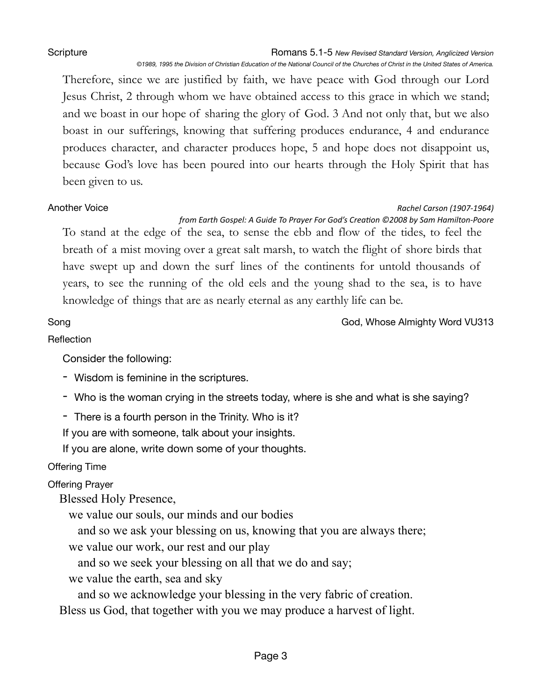Therefore, since we are justified by faith, we have peace with God through our Lord Jesus Christ, 2 through whom we have obtained access to this grace in which we stand; and we boast in our hope of sharing the glory of God. 3 And not only that, but we also boast in our sufferings, knowing that suffering produces endurance, 4 and endurance produces character, and character produces hope, 5 and hope does not disappoint us, because God's love has been poured into our hearts through the Holy Spirit that has been given to us.

### Another Voice *Rachel Carson (1907-1964)*

from Earth Gospel: A Guide To Prayer For God's Creation ©2008 by Sam Hamilton-Poore

To stand at the edge of the sea, to sense the ebb and flow of the tides, to feel the breath of a mist moving over a great salt marsh, to watch the flight of shore birds that have swept up and down the surf lines of the continents for untold thousands of years, to see the running of the old eels and the young shad to the sea, is to have knowledge of things that are as nearly eternal as any earthly life can be.

Song God, Whose Almighty Word VU313

## Reflection

Consider the following:

- Wisdom is feminine in the scriptures.

- Who is the woman crying in the streets today, where is she and what is she saying?
- There is a fourth person in the Trinity. Who is it?

If you are with someone, talk about your insights.

If you are alone, write down some of your thoughts.

# Offering Time

Offering Prayer

Blessed Holy Presence,

we value our souls, our minds and our bodies

and so we ask your blessing on us, knowing that you are always there;

we value our work, our rest and our play

and so we seek your blessing on all that we do and say;

we value the earth, sea and sky

and so we acknowledge your blessing in the very fabric of creation.

Bless us God, that together with you we may produce a harvest of light.